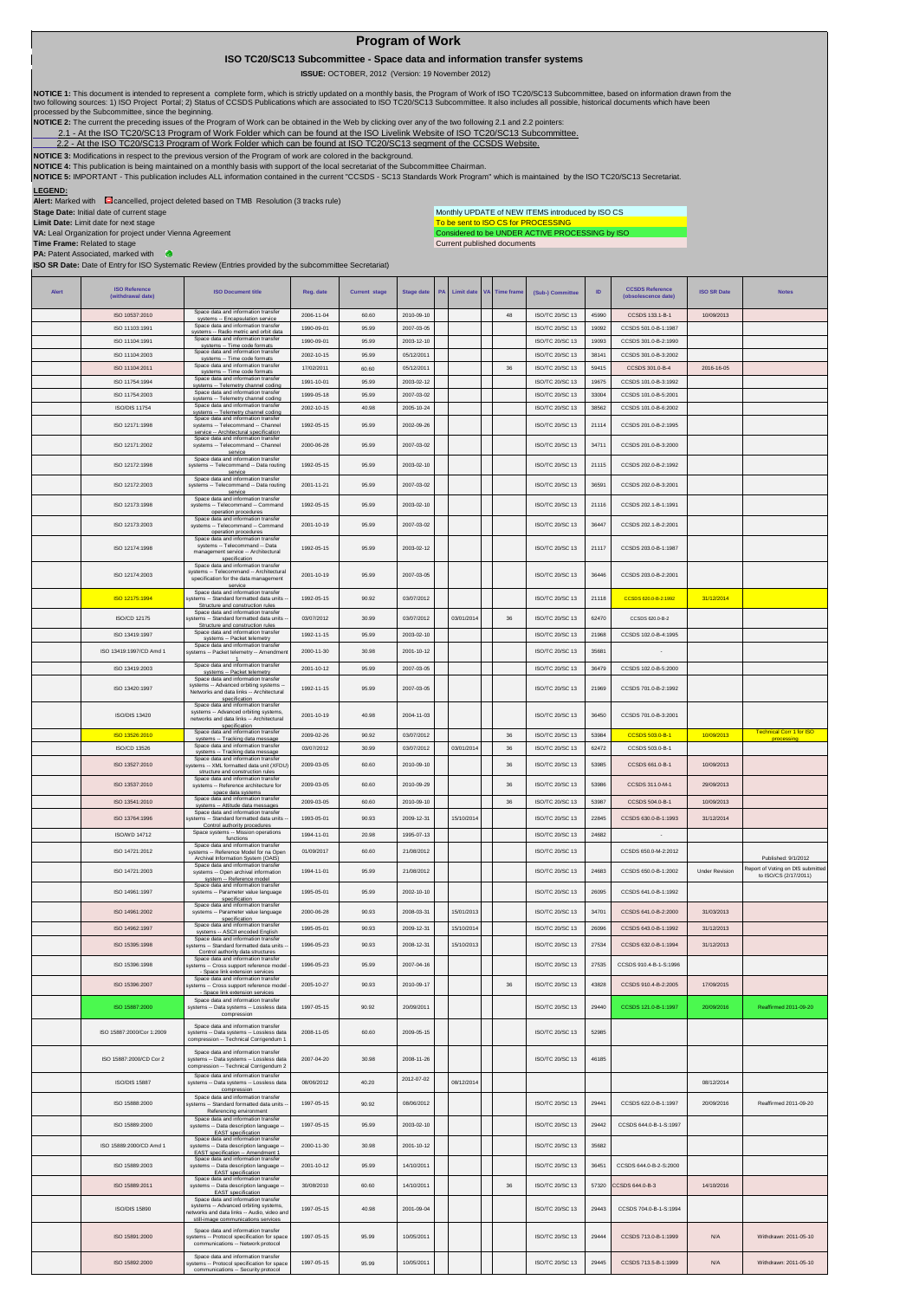## **Program of Work**

 **ISO TC20/SC13 Subcommittee - Space data and information transfer systems**

 **ISSUE:** OCTOBER, 2012 (Version: 19 November 2012)

 $\overline{1}$ 

NOTICE 1: This document is intended to represent a complete form, which is strictly updated on a monthly basis, the Program of Work of ISO TC20/SC13 Subcommittee, based on information drawn from the<br>two following sources:

**NOTICE 2:** The current the preceding issues of the Program of Work can be obtained in the Web by clicking over any of the two following 2.1 and 2.2 pointers:

2.1- At the ISO TC20/SC13 Program of Work Folder which can be found at the ISO Livelink Website of ISO TC20/SC13 Subcommittee.<br>[2.2 - A](http://cwe.ccsds.org/cmc/docs/Forms/AllItems.aspx?RootFolder=%2fcmc%2fdocs%2fISO%20TC20%2dSC13%2fISO%20TC20%2dSC13%20Meeting%20Minutes%20and%20Presentations&FolderCTID=&View=%7bD5DD30F7%2d53FC%2d45B9%2d8B93%2d709B280A475B%7d)t the ISO TC20/SC13 Program of Work Folder which can be found at ISO TC20/SC13 segment

 $\overline{\phantom{a}}$ 

**NOTICE 3:** Modifications in respect to the previous version of the Program of work are colored in the background.

NOTICE 4: This publication is being maintained on a monthly basis with support of the local secretariat of the Subcommittee Chairman.<br>NOTICE 5: IMPORTANT - This publication includes ALL information contained in the current

 $\overline{1}$ 

## **LEGEND:**

**Alert:** Marked with cancelled, project deleted based on TMB Resolution (3 tracks rule)

**Stage Date:** Initial date of current stage **Limit Date:** Limit date for next stage

To be sent to ISO CS for PROCESSING<br>Considered to be UNDER ACTIVE PROCESSING by ISO Monthly UPDATE of NEW ITEMS introduced by ISO CS

 $\top$ 

 $\overline{\phantom{a}}$ 

Current published documents

 $\overline{\phantom{a}}$  $\overline{\phantom{a}}$ 

 $\overline{1}$ 

**VA:** Leal Organization for project under Vienna Agreement **Time Frame:** Related to stage **PA:** Patent Associated, marked with **ISO SR Date:** Date of Entry for ISO Systematic Review (Entries provided by the subcommittee Secretariat)

| <b>Alert</b> | <b>ISO Reference</b><br>(withdrawal date) | <b>ISO Document title</b>                                                                                           | Reg. date  | <b>Current stage</b> | <b>Stage date</b> | <b>PA</b> | Limit date | <b>VA</b> Time frame | (Sub-) Committee       | ID    | <b>CCSDS Reference</b><br>(obsolescence date) | <b>ISO SR Date</b>    | <b>Notes</b>                      |
|--------------|-------------------------------------------|---------------------------------------------------------------------------------------------------------------------|------------|----------------------|-------------------|-----------|------------|----------------------|------------------------|-------|-----------------------------------------------|-----------------------|-----------------------------------|
|              | ISO 10537:2010                            | Space data and information transfer                                                                                 | 2006-11-04 | 60.60                | 2010-09-10        |           |            | 48                   | ISO/TC 20/SC 13        | 45990 | CCSDS 133.1-B-1                               | 10/09/2013            |                                   |
|              | ISO 11103:1991                            | systems -- Encapsulation service<br>Space data and information transfer                                             | 1990-09-01 | 95.99                | 2007-03-05        |           |            |                      | ISO/TC 20/SC 13        | 19092 | CCSDS 501.0-B-1:1987                          |                       |                                   |
|              | ISO 11104:1991                            | systems -- Radio metric and orbit data<br>Space data and information transfer<br>systems -- Time code formats       | 1990-09-01 | 95.99                | 2003-12-10        |           |            |                      | ISO/TC 20/SC 13        | 19093 | CCSDS 301.0-B-2:1990                          |                       |                                   |
|              | ISO 11104:2003                            | Space data and information transfer<br>systems -- Time code formats                                                 | 2002-10-15 | 95.99                | 05/12/2011        |           |            |                      | <b>ISO/TC 20/SC 13</b> | 38141 | CCSDS 301.0-B-3:2002                          |                       |                                   |
|              | ISO 11104:2011                            | Space data and information transfer<br>systems -- Time code formats                                                 | 17/02/2011 | 60.60                | 05/12/2011        |           |            | $36\,$               | ISO/TC 20/SC 13        | 59415 | CCSDS 301.0-B-4                               | 2016-16-05            |                                   |
|              | ISO 11754:1994                            | Space data and information transfer<br>systems -- Telemetry channel coding                                          | 1991-10-01 | 95.99                | 2003-02-12        |           |            |                      | ISO/TC 20/SC 13        | 19675 | CCSDS 101.0-B-3:1992                          |                       |                                   |
|              | ISO 11754:2003                            | Space data and information transfer<br>systems -- Telemetry channel coding                                          | 1999-05-18 | 95.99                | 2007-03-02        |           |            |                      | ISO/TC 20/SC 13        | 33004 | CCSDS 101 0-B-5:2001                          |                       |                                   |
|              | <b>ISO/DIS 11754</b>                      | Space data and information transfer<br>systems -- Telemetry channel coding<br>Space data and information transfer   | 2002-10-15 | 40.98                | 2005-10-24        |           |            |                      | ISO/TC 20/SC 13        | 38562 | CCSDS 101.0-B-6:2002                          |                       |                                   |
|              | ISO 12171:1998                            | systems -- Telecommand -- Channel<br>service -- Architectural specification                                         | 1992-05-15 | 95.99                | 2002-09-26        |           |            |                      | ISO/TC 20/SC 13        | 21114 | CCSDS 201.0-B-2:1995                          |                       |                                   |
|              | ISO 12171:2002                            | Space data and information transfer<br>systems -- Telecommand -- Channel                                            | 2000-06-28 | 95.99                | 2007-03-02        |           |            |                      | <b>ISO/TC 20/SC 13</b> | 34711 | CCSDS 201 0-B-3:2000                          |                       |                                   |
|              |                                           | service<br>Space data and information transfer                                                                      |            |                      |                   |           |            |                      |                        |       |                                               |                       |                                   |
|              | ISO 12172:1998                            | systems -- Telecommand -- Data routing<br>service                                                                   | 1992-05-15 | 95.99                | 2003-02-10        |           |            |                      | ISO/TC 20/SC 13        | 21115 | CCSDS 202.0-B-2:1992                          |                       |                                   |
|              | ISO 12172:2003                            | Space data and information transfer<br>systems -- Telecommand -- Data routing<br>service                            | 2001-11-21 | 95.99                | 2007-03-02        |           |            |                      | <b>ISO/TC 20/SC 13</b> | 36591 | CCSDS 202.0-B-3:2001                          |                       |                                   |
|              | ISO 12173:1998                            | Space data and information transfer<br>systems -- Telecommand -- Command                                            | 1992-05-15 | 95.99                | 2003-02-10        |           |            |                      | ISO/TC 20/SC 13        | 21116 | CCSDS 202.1-B-1:1991                          |                       |                                   |
|              |                                           | operation procedures<br>Space data and information transfer                                                         |            |                      |                   |           |            |                      |                        |       |                                               |                       |                                   |
|              | ISO 12173:2003                            | systems -- Telecommand -- Command<br>operation procedures<br>Space data and information transfer                    | 2001-10-19 | 95.99                | 2007-03-02        |           |            |                      | ISO/TC 20/SC 13        | 36447 | CCSDS 202.1-B-2:2001                          |                       |                                   |
|              | ISO 12174:1998                            | systems -- Telecommand -- Data<br>management service -- Architectural                                               | 1992-05-15 | 95.99                | 2003-02-12        |           |            |                      | ISO/TC 20/SC 13        | 21117 | CCSDS 203.0-B-1:1987                          |                       |                                   |
|              |                                           | specification<br>Space data and information transfer                                                                |            |                      |                   |           |            |                      |                        |       |                                               |                       |                                   |
|              | ISO 12174:2003                            | systems -- Telecommand -- Architectura<br>specification for the data management                                     | 2001-10-19 | 95.99                | 2007-03-05        |           |            |                      | <b>ISO/TC 20/SC 13</b> | 36446 | CCSDS 203.0-B-2:2001                          |                       |                                   |
|              |                                           | service<br>Space data and information transfer                                                                      |            |                      |                   |           |            |                      | <b>ISO/TC 20/SC 13</b> |       | CCSDS 620.0-B-2:1992                          |                       |                                   |
|              | ISO 12175:1994                            | systems -- Standard formatted data units<br>Structure and construction rules<br>Space data and information transfer | 1992-05-15 | 90.92                | 03/07/2012        |           |            |                      |                        | 21118 |                                               | 31/12/2014            |                                   |
|              | ISO/CD 12175                              | vstems -- Standard formatted data units<br>Structure and construction rules                                         | 03/07/2012 | 30.99                | 03/07/2012        |           | 03/01/2014 | $36\,$               | ISO/TC 20/SC 13        | 62470 | CCSDS 620.0-B-2                               |                       |                                   |
|              | ISO 13419:1997                            | Space data and information transfer<br>systems -- Packet telemetry                                                  | 1992-11-15 | 95.99                | 2003-02-10        |           |            |                      | ISO/TC 20/SC 13        | 21968 | CCSDS 102 0-B-4:1995                          |                       |                                   |
|              | ISO 13419:1997/CD Amd 1                   | Space data and information transfer<br>ystems -- Packet telemetry -- Amendme                                        | 2000-11-30 | 30.98                | 2001-10-12        |           |            |                      | <b>ISO/TC 20/SC 13</b> | 35681 |                                               |                       |                                   |
|              | ISO 13419:2003                            | Space data and information transfer<br>systems -- Packet telemetry                                                  | 2001-10-12 | 95.99                | 2007-03-05        |           |            |                      | ISO/TC 20/SC 13        | 36479 | CCSDS 102.0-B-5:2000                          |                       |                                   |
|              |                                           | Space data and information transfer<br>systems -- Advanced orbiting systems -                                       |            |                      |                   |           |            |                      | <b>ISO/TC 20/SC 13</b> |       | CCSDS 701 0-B-2:1992                          |                       |                                   |
|              | ISO 13420:1997                            | Networks and data links -- Architectural<br>specification                                                           | 1992-11-15 | 95.99                | 2007-03-05        |           |            |                      |                        | 21969 |                                               |                       |                                   |
|              | ISO/DIS 13420                             | Space data and information transfer<br>systems -- Advanced orbiting systems,                                        | 2001-10-19 | 40.98                | 2004-11-03        |           |            |                      | ISO/TC 20/SC 13        | 36450 | CCSDS 701.0-B-3:2001                          |                       |                                   |
|              |                                           | networks and data links -- Architectural<br>specification<br>Space data and information transfer                    |            |                      |                   |           |            |                      |                        |       |                                               |                       | <b>Technical Corr 1 for ISO</b>   |
|              | ISO 13526:2010<br>ISO/CD 13526            | systems -- Tracking data message<br>Space data and information transfer                                             | 2009-02-26 | 90.92                | 03/07/2012        |           |            | 36                   | ISO/TC 20/SC 13        | 53984 | CCSDS 503.0-B-1                               | 10/09/2013            | processing                        |
|              |                                           | systems -- Tracking data message<br>Space data and information transfe                                              | 03/07/2012 | 30.99                | 03/07/2012        |           | 03/01/2014 | 36                   | ISO/TC 20/SC 13        | 62472 | CCSDS 503.0-B-1                               |                       |                                   |
|              | ISO 13527:2010                            | stems -- XML formatted data unit (XFDU<br>structure and construction rules                                          | 2009-03-05 | 60.60                | 2010-09-10        |           |            | 36                   | ISO/TC 20/SC 13        | 53985 | CCSDS 661.0-B-1                               | 10/09/2013            |                                   |
|              |                                           | Space data and information transfer                                                                                 |            |                      |                   |           |            |                      |                        |       |                                               |                       |                                   |
|              | ISO 13537:2010                            | systems -- Reference architecture for                                                                               | 2009-03-05 | 60.60                | 2010-09-29        |           |            | $36\,$               | ISO/TC 20/SC 13        | 53986 | CCSDS 311.0-M-1                               | 29/09/2013            |                                   |
|              | ISO 13541:2010                            | space data systems<br>Space data and information transfer                                                           | 2009-03-05 | 60.60                | 2010-09-10        |           |            | 36                   | ISO/TC 20/SC 13        | 53987 | CCSDS 504.0-B-1                               | 10/09/2013            |                                   |
|              | ISO 13764:1996                            | systems -- Attitude data messages<br>Space data and information transfer<br>ystems -- Standard formatted data units | 1993-05-01 | 90.93                | 2009-12-31        |           | 15/10/2014 |                      | ISO/TC 20/SC 13        | 22845 | CCSDS 630.0-B-1:1993                          | 31/12/2014            |                                   |
|              |                                           | Control authority procedures<br>Space systems -- Mission operations                                                 |            |                      |                   |           |            |                      |                        |       |                                               |                       |                                   |
|              | ISO/WD 14712                              | functions<br>Space data and information transfer                                                                    | 1994-11-01 | 20.98                | 1995-07-13        |           |            |                      | ISO/TC 20/SC 13        | 24682 |                                               |                       |                                   |
|              | ISO 14721:2012                            | systems -- Reference Model for na Open<br>Archival Information System (OAIS)                                        | 01/09/2017 | 60.60                | 21/08/2012        |           |            |                      | ISO/TC 20/SC 13        |       | CCSDS 650.0-M-2:2012                          |                       | Published: 9/1/2012               |
|              | ISO 14721:2003                            | Space data and information transfer<br>systems -- Open archival information                                         | 1994-11-01 | 95.99                | 21/08/2012        |           |            |                      | ISO/TC 20/SC 13        | 24683 | CCSDS 650.0-B-1:2002                          | <b>Under Revision</b> | to ISO/CS (2/17/2011)             |
|              | ISO 14961:1997                            | system -- Reference model<br>Space data and information transfer<br>systems -- Parameter value language             | 1995-05-01 | 95.99                | 2002-10-10        |           |            |                      | <b>ISO/TC 20/SC 13</b> | 26095 | CCSDS 641.0-B-1:1992                          |                       | Report of Voting on DIS submitted |
|              |                                           | specification<br>Space data and information transfer                                                                |            |                      |                   |           |            |                      |                        |       |                                               |                       |                                   |
|              | ISO 14961:2002                            | systems -- Parameter value language<br>specification<br>Space data and information transfer                         | 2000-06-28 | 90.93                | 2008-03-31        |           | 15/01/2013 |                      | ISO/TC 20/SC 13        | 34701 | CCSDS 641.0-B-2:2000                          | 31/03/2013            |                                   |
|              | ISO 14962:1997                            | systems -- ASCII encoded English<br>Space data and information transfer                                             | 1995-05-01 | 90.93                | 2009-12-31        |           | 15/10/2014 |                      | ISO/TC 20/SC 13        | 26096 | CCSDS 643.0-B-1:1992                          | 31/12/2013            |                                   |
|              | ISO 153951998                             | stems -- Standard formatted data units<br>Control authority data structures                                         | 1996-05-23 | 90.93                | 2008-12-31        |           | 15/10/2013 |                      | <b>ISO/TC 20/SC 13</b> | 27534 | CCSDS 632 0-B-1:1994                          | 31/12/2013            |                                   |
|              | ISO 15396:1998                            | Space data and information transfer<br>systems -- Cross support reference mode                                      | 1996-05-23 | 95.99                | 2007-04-16        |           |            |                      | ISO/TC 20/SC 13        | 27535 | CCSDS 910.4-B-1-S:1996                        |                       |                                   |
|              | ISO 15396:2007                            | Space link extension services<br>Space data and information transfer                                                | 2005-10-27 | 90.93                | 2010-09-17        |           |            | 36                   | ISO/TC 20/SC 13        | 43828 | CCSDS 910.4-B-2:2005                          | 17/09/2015            |                                   |
|              |                                           | systems -- Cross support reference model<br>Space link extension services<br>Space data and information transfer    |            |                      |                   |           |            |                      |                        |       |                                               |                       |                                   |
|              | ISO 15887:2000                            | systems -- Data systems -- Lossless data<br>compression                                                             | 1997-05-15 | 90.92                | 20/09/2011        |           |            |                      | ISO/TC 20/SC 13        | 29440 | CCSDS 121.0-B-1:1997                          | 20/09/2016            | Reaffirmed 2011-09-20             |
|              |                                           | Space data and information transfer                                                                                 |            |                      |                   |           |            |                      |                        |       |                                               |                       |                                   |
|              | ISO 15887:2000/Cor 1:2009                 | systems -- Data systems -- Lossless data<br>compression -- Technical Corrigendum 1                                  | 2008-11-05 | 60.60                | 2009-05-15        |           |            |                      | ISO/TC 20/SC 13        | 52985 |                                               |                       |                                   |
|              | ISO 15887:2000/CD Cor 2                   | Space data and information transfer<br>systems -- Data systems -- Lossless data                                     | 2007-04-20 | 30.98                | 2008-11-26        |           |            |                      | ISO/TC 20/SC 13        | 46185 |                                               |                       |                                   |
|              |                                           | compression -- Technical Corrigendum 2                                                                              |            |                      |                   |           |            |                      |                        |       |                                               |                       |                                   |
|              | <b>ISO/DIS 15887</b>                      | Space data and information transfer<br>systems -- Data systems -- Lossless data                                     | 08/06/2012 | 40.20                | 2012-07-02        |           | 08/12/2014 |                      |                        |       |                                               | 08/12/2014            |                                   |
|              | ISO 15888:2000                            | compression<br>Space data and information transfer                                                                  | 1997-05-15 |                      | 08/06/2012        |           |            |                      | ISO/TC 20/SC 13        | 29441 | CCSDS 622.0-B-1:1997                          | 20/09/2016            | Reaffirmed 2011-09-20             |
|              |                                           | systems -- Standard formatted data units<br>Referencing environment<br>Space data and information transfer          |            | 90.92                |                   |           |            |                      |                        |       |                                               |                       |                                   |
|              | ISO 15889:2000                            | systems -- Data description language --<br>EAST specification                                                       | 1997-05-15 | 95.99                | 2003-02-10        |           |            |                      | <b>ISO/TC 20/SC 13</b> | 29442 | CCSDS 644.0-B-1-S:1997                        |                       |                                   |
|              | ISO 15889:2000/CD Amd 1                   | Space data and information transfer<br>systems -- Data description language --                                      | 2000-11-30 | 30.98                | 2001-10-12        |           |            |                      | ISO/TC 20/SC 13        | 35682 |                                               |                       |                                   |
|              | ISO 15889:2003                            | EAST specification -- Amendment 1<br>Space data and information transfer                                            | 2001-10-12 | 95.99                | 14/10/2011        |           |            |                      | <b>ISO/TC 20/SC 13</b> | 36451 | CCSDS 644.0-B-2-S:2000                        |                       |                                   |
|              |                                           | systems -- Data description language<br>EAST specification<br>Space data and information transfer                   |            |                      |                   |           |            |                      |                        |       |                                               |                       |                                   |
|              | ISO 15889:2011                            | systems -- Data description language -<br><b>EAST</b> specification                                                 | 30/08/2010 | 60.60                | 14/10/2011        |           |            | $36\,$               | ISO/TC 20/SC 13        | 57320 | CCSDS 644.0-B-3                               | 14/10/2016            |                                   |
|              | <b>ISO/DIS 15890</b>                      | Space data and information transfer<br>systems -- Advanced orbiting systems,                                        | 1997-05-15 | 40.98                | 2001-09-04        |           |            |                      | <b>ISO/TC 20/SC 13</b> | 29443 | CCSDS 704.0-B-1-S:1994                        |                       |                                   |
|              |                                           | etworks and data links -- Audio, video and<br>still-image communications services                                   |            |                      |                   |           |            |                      |                        |       |                                               |                       |                                   |
|              | ISO 15891:2000                            | Space data and information transfer<br>ystems -- Protocol specification for space                                   | 1997-05-15 | 95.99                | 10/05/2011        |           |            |                      | ISO/TC 20/SC 13        | 29444 | CCSDS 713.0-B-1:1999                          | N/A                   | Withdrawn: 2011-05-10             |
|              |                                           | communications -- Network protocol<br>Space data and information transfer                                           |            |                      |                   |           |            |                      |                        |       |                                               |                       |                                   |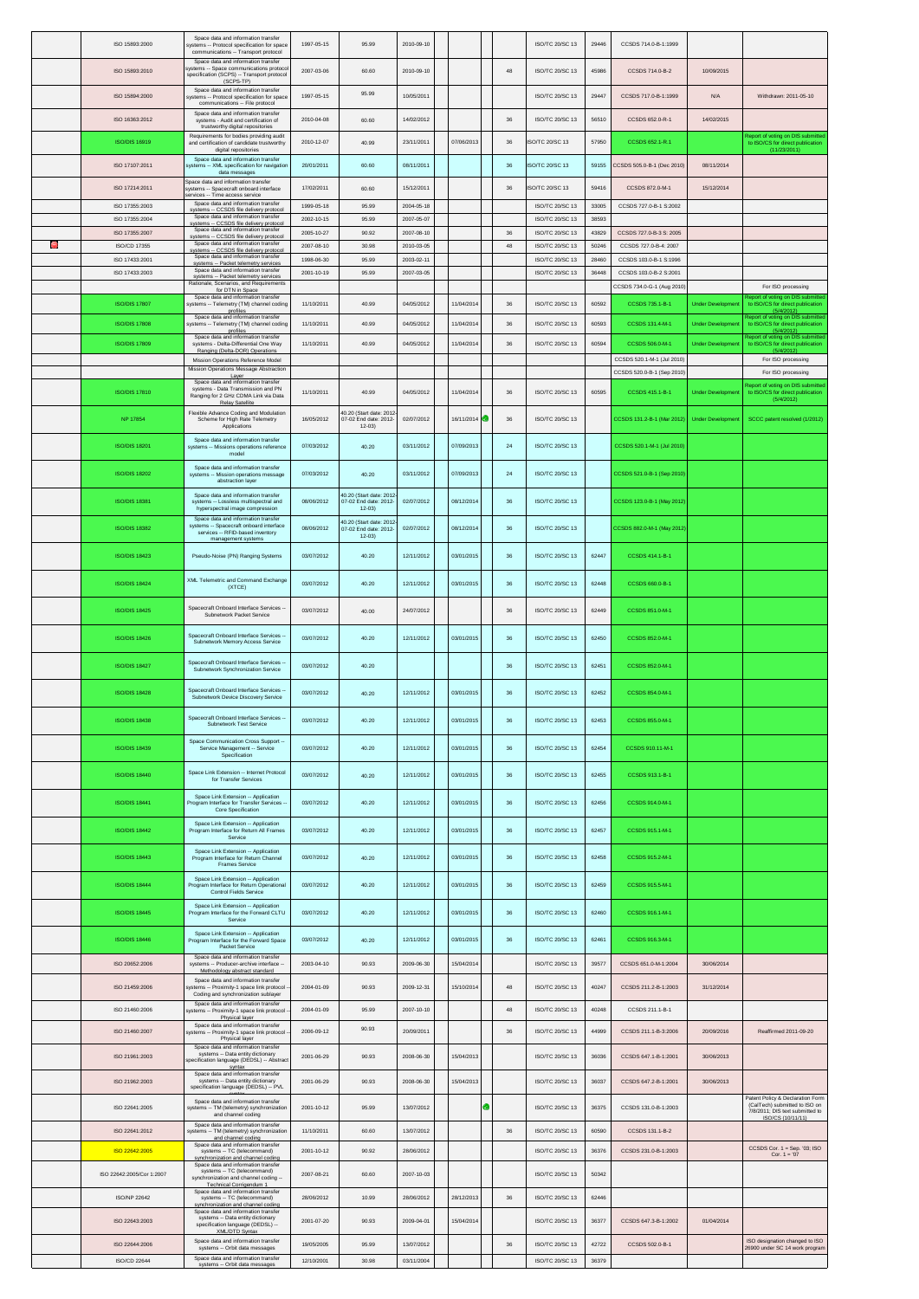|   | ISO 15893:2000                   | Space data and information transfer<br>systems -- Protocol specification for space<br>communications -- Transport protocol                                 | 1997-05-15               | 95.99                                                         | 2010-09-10               |            |              | ISO/TC 20/SC 13                           | 29446          | CCSDS 714.0-B-1:1999                             |                         |                                                                                           |
|---|----------------------------------|------------------------------------------------------------------------------------------------------------------------------------------------------------|--------------------------|---------------------------------------------------------------|--------------------------|------------|--------------|-------------------------------------------|----------------|--------------------------------------------------|-------------------------|-------------------------------------------------------------------------------------------|
|   | ISO 15893:2010                   | Space data and information transfer<br>systems -- Space communications protoco<br>specification (SCPS) -- Transport protocol                               | 2007-03-06               | 60.60                                                         | 2010-09-10               |            | 48           | ISO/TC 20/SC 13                           | 45986          | CCSDS 714.0-B-2                                  | 10/09/2015              |                                                                                           |
|   | ISO 15894:2000                   | (SCPS-TP)<br>Space data and information transfer<br>systems -- Protocol specification for spac                                                             | 1997-05-15               | 95.99                                                         | 10/05/2011               |            |              | ISO/TC 20/SC 13                           | 29447          | CCSDS 717.0-B-1:1999                             | N/A                     | Withdrawn: 2011-05-10                                                                     |
|   | ISO 16363:2012                   | communications -- File protocol<br>Space data and information transfer<br>systems - Audit and certification of                                             | 2010-04-08               | 60.60                                                         | 14/02/2012               |            | 36           | ISO/TC 20/SC 13                           | 56510          | CCSDS 652.0-R-1                                  | 14/02/2015              |                                                                                           |
|   | ISO/DIS 16919                    | trustworthy digital repositories<br>Requirements for bodies providing audit<br>and certification of candidate trustworthy                                  | 2010-12-07               | 40.99                                                         | 23/11/2011               | 07/06/2013 | 36           | <b>ISO/TC 20/SC 13</b>                    | 57950          | CCSDS 652.1-R.1                                  |                         | eport of voting on DIS submitted<br>to ISO/CS for direct publication                      |
|   | ISO 17107:2011                   | digital repositories<br>Space data and information transfer<br>systems -- XML specification for navigation                                                 | 20/01/2011               | 60.60                                                         | 08/11/2011               |            | $36\,$       | SO/TC 20/SC 13                            | 59155          | CCSDS 505.0-B-1 (Dec 2010)                       | 08/11/2014              | (11/23/2011)                                                                              |
|   |                                  | data messages<br>Space data and information transfer                                                                                                       |                          |                                                               |                          |            |              |                                           |                |                                                  |                         |                                                                                           |
|   | ISO 17214:2011<br>ISO 17355:2003 | systems -- Spacecraft onboard interface<br>ervices -- Time access service<br>Space data and information transfer                                           | 17/02/2011<br>1999-05-18 | 60.60<br>95.99                                                | 15/12/2011<br>2004-05-18 |            | $36\,$       | ISO/TC 20/SC 13<br><b>ISO/TC 20/SC 13</b> | 59416<br>33005 | CCSDS 872.0-M-1<br>CCSDS 727.0-B-1 S:2002        | 15/12/2014              |                                                                                           |
|   | ISO 17355:2004                   | systems -- CCSDS file delivery protocol<br>Space data and information transfer<br>svstems -- CCSDS file deliverv protocol                                  | 2002-10-15               | 95.99                                                         | 2007-05-07               |            |              | ISO/TC 20/SC 13                           | 38593          |                                                  |                         |                                                                                           |
| Ð | ISO 17355:2007<br>ISO/CD 17355   | Space data and information transfer<br>systems -- CCSDS file delivery protocol<br>Space data and information transfer                                      | 2005-10-27<br>2007-08-10 | 90.92<br>30.98                                                | 2007-08-10<br>2010-03-05 |            | 36<br>$48\,$ | ISO/TC 20/SC 13<br>ISO/TC 20/SC 13        | 43829<br>50246 | CCSDS 727.0-B-3 S: 2005<br>CCSDS 727.0-B-4: 2007 |                         |                                                                                           |
|   | ISO 17433:2001                   | systems -- CCSDS file delivery protocol<br>Space data and information transfer<br>systems -- Packet telemetry services                                     | 1998-06-30               | 95.99                                                         | 2003-02-11               |            |              | ISO/TC 20/SC 13                           | 28460          | CCSDS 103.0-B-1 S:1996                           |                         |                                                                                           |
|   | ISO 17433:2003                   | Space data and information transfer<br>systems -- Packet telemetry services<br>Rationale, Scenarios, and Requirements                                      | 2001-10-19               | 95.99                                                         | 2007-03-05               |            |              | ISO/TC 20/SC 13                           | 36448          | CCSDS 103.0-B-2 S:2001                           |                         |                                                                                           |
|   | <b>ISO/DIS 17807</b>             | for DTN in Space<br>Space data and information transfer<br>systems -- Telemetry (TM) channel coding                                                        | 11/10/2011               | 40.99                                                         | 04/05/2012               | 11/04/2014 | $36\,$       | ISO/TC 20/SC 13                           | 60592          | CCSDS 734.0-G-1 (Aug 2010<br>CCSDS 735.1-B-1     | <b>Under Developme</b>  | For ISO processing<br>port of voting on DIS submitted<br>to ISO/CS for direct publication |
|   |                                  | profiles<br>Space data and information transfer                                                                                                            | 11/10/2011               | 40.99                                                         |                          |            |              |                                           | 60593          |                                                  |                         | (5/4/2012)<br>eport of voting on DIS submitted                                            |
|   | <b>ISO/DIS 17808</b>             | systems -- Telemetry (TM) channel coding<br>profiles<br>Space data and information transfer                                                                |                          |                                                               | 04/05/2012               | 11/04/2014 | 36           | ISO/TC 20/SC 13                           |                | CCSDS 131.4-M-1                                  | <b>Under Developmen</b> | to ISO/CS for direct publication<br>Report of voting on DIS submitted                     |
|   | <b>ISO/DIS 17809</b>             | systems - Delta-Differential One Way<br>Ranging (Delta-DOR) Operations<br>Mission Operations Reference Model                                               | 11/10/2011               | 40.99                                                         | 04/05/2012               | 11/04/2014 | 36           | <b>ISO/TC 20/SC 13</b>                    | 60594          | CCSDS 506.0-M-1<br>CCSDS 520.1-M-1 (Jul 2010)    | <b>Under Developmen</b> | to ISO/CS for direct publication<br>(5/4/2012)<br>For ISO processing                      |
|   |                                  | Mission Operations Message Abstraction<br>Laver                                                                                                            |                          |                                                               |                          |            |              |                                           |                | CCSDS 520.0-B-1 (Sep 2010                        |                         | For ISO processing                                                                        |
|   | <b>ISO/DIS 17810</b>             | Space data and information transfer<br>systems - Data Transmission and PN<br>Ranging for 2 GHz CDMA Link via Data                                          | 11/10/2011               | 40.99                                                         | 04/05/2012               | 11/04/2014 | $36\,$       | ISO/TC 20/SC 13                           | 60595          | CCSDS 415.1-B-1                                  | <b>Under Developmen</b> | eport of voting on DIS submitted<br>to ISO/CS for direct publication<br>(5/4/2012)        |
|   | <b>NP 17854</b>                  | Relay Satellite<br>Flexible Advance Coding and Modulation<br>Scheme for High Rate Telemetry                                                                | 16/05/2012               | 40.20 (Start date: 2012<br>07-02 End date: 2012-              | 02/07/2012               | 16/11/2014 | 36           | ISO/TC 20/SC 13                           |                | CCSDS 131.2-B-1 (Mar 2012)                       | <b>Under Developmer</b> | SCCC patent resolved (1/2012)                                                             |
|   | <b>ISO/DIS 18201</b>             | Applications<br>Space data and information transfer<br>systems -- Missions operations reference                                                            | 07/03/2012               | $12 - 03$<br>40.20                                            | 03/11/2012               | 07/09/2013 | 24           | ISO/TC 20/SC 13                           |                | CCSDS 520.1-M-1 (Jul 2010)                       |                         |                                                                                           |
|   | <b>ISO/DIS 18202</b>             | model<br>Space data and information transfer<br>systems -- Mission operations message                                                                      | 07/03/2012               | 40.20                                                         | 03/11/2012               | 07/09/2013 | 24           | <b>ISO/TC 20/SC 13</b>                    |                | CCSDS 521.0-B-1 (Sep 2010)                       |                         |                                                                                           |
|   |                                  | abstraction layer<br>Space data and information transfer                                                                                                   |                          | 40.20 (Start date: 2012                                       |                          |            |              |                                           |                |                                                  |                         |                                                                                           |
|   | <b>ISO/DIS 18381</b>             | systems -- Lossless multispectral and<br>hyperspectral image compression<br>Space data and information transfer<br>systems -- Spacecraft onboard interface | 08/06/2012               | 07-02 End date: 2012-<br>$12 - 03$<br>40.20 (Start date: 2012 | 02/07/2012               | 08/12/2014 | 36           | <b>ISO/TC 20/SC 13</b>                    |                | CCSDS 123.0-B-1 (May 2012                        |                         |                                                                                           |
|   | <b>ISO/DIS 18382</b>             | services -- RFID-based inventory<br>management systems                                                                                                     | 08/06/2012               | 07-02 End date: 2012-<br>$12 - 03$                            | 02/07/2012               | 08/12/2014 | $36\,$       | ISO/TC 20/SC 13                           |                | CCSDS 882.0-M-1 (May 2012)                       |                         |                                                                                           |
|   | <b>ISO/DIS 18423</b>             | Pseudo-Noise (PN) Ranging Systems                                                                                                                          | 03/07/2012               | 40.20                                                         | 12/11/2012               | 03/01/2015 | $36\,$       | ISO/TC 20/SC 13                           | 62447          | CCSDS 414.1-B-1                                  |                         |                                                                                           |
|   | <b>ISO/DIS 18424</b>             | XML Telemetric and Command Exchange<br>(XTCE)                                                                                                              | 03/07/2012               | 40.20                                                         | 12/11/2012               | 03/01/2015 | $36\,$       | ISO/TC 20/SC 13                           | 62448          | CCSDS 660.0-B-1                                  |                         |                                                                                           |
|   | <b>ISO/DIS 18425</b>             | Spacecraft Onboard Interface Services -<br>Subnetwork Packet Service                                                                                       | 03/07/2012               | 40.00                                                         | 24/07/2012               |            | 36           | ISO/TC 20/SC 13                           | 62449          | CCSDS 851.0-M-1                                  |                         |                                                                                           |
|   | <b>ISO/DIS 18426</b>             | Spacecraft Onboard Interface Services -<br>Subnetwork Memory Access Service                                                                                | 03/07/2012               | 40.20                                                         | 12/11/2012               | 03/01/2015 | 36           | ISO/TC 20/SC 13                           | 62450          | CCSDS 852 0-M-1                                  |                         |                                                                                           |
|   | <b>ISO/DIS 18427</b>             | Spacecraft Onboard Interface Services -<br>Subnetwork Synchronization Service                                                                              | 03/07/2012               | 40.20                                                         |                          |            | 36           | ISO/TC 20/SC 13                           | 62451          | CCSDS 852.0-M-1                                  |                         |                                                                                           |
|   | <b>ISO/DIS 18428</b>             | Spacecraft Onboard Interface Services -<br>Subnetwork Device Discovery Service                                                                             | 03/07/2012               | 40.20                                                         | 12/11/2012               | 03/01/2015 | 36           | <b>ISO/TC 20/SC 13</b>                    | 62452          | CCSDS 854.0-M-1                                  |                         |                                                                                           |
|   | <b>ISO/DIS 18438</b>             | Spacecraft Onboard Interface Services --<br><b>Subnetwork Test Service</b>                                                                                 | 03/07/2012               | 40.20                                                         | 12/11/2012               | 03/01/2015 | 36           | ISO/TC 20/SC 13                           | 62453          | CCSDS 855.0-M-1                                  |                         |                                                                                           |
|   | <b>ISO/DIS 18439</b>             | Space Communication Cross Support --<br>Service Management -- Service<br>Specification                                                                     | 03/07/2012               | 40.20                                                         | 12/11/2012               | 03/01/2015 | $36\,$       | ISO/TC 20/SC 13                           | 62454          | CCSDS 910.11-M-1                                 |                         |                                                                                           |
|   | <b>ISO/DIS 18440</b>             | Space Link Extension -- Internet Protocol<br>for Transfer Services                                                                                         | 03/07/2012               | 40.20                                                         | 12/11/2012               | 03/01/2015 | $36\,$       | ISO/TC 20/SC 13                           | 62455          | CCSDS 913.1-B-1                                  |                         |                                                                                           |
|   | <b>ISO/DIS 18441</b>             | Space Link Extension -- Application<br>Program Interface for Transfer Services<br>Core Specification                                                       | 03/07/2012               | 40.20                                                         | 12/11/2012               | 03/01/2015 | 36           | ISO/TC 20/SC 13                           | 62456          | CCSDS 914.0-M-1                                  |                         |                                                                                           |
|   | <b>ISO/DIS 18442</b>             | Space Link Extension -- Application<br>Program Interface for Return All Frames<br>Service                                                                  | 03/07/2012               | 40.20                                                         | 12/11/2012               | 03/01/2015 | 36           | <b>ISO/TC 20/SC 13</b>                    | 62457          | CCSDS 915.1-M-1                                  |                         |                                                                                           |
|   | <b>ISO/DIS 18443</b>             | Space Link Extension -- Application<br>Program Interface for Return Channel<br><b>Frames Service</b>                                                       | 03/07/2012               | 40.20                                                         | 12/11/2012               | 03/01/2015 | 36           | ISO/TC 20/SC 13                           | 62458          | CCSDS 915.2-M-1                                  |                         |                                                                                           |
|   | <b>ISO/DIS 18444</b>             | Space Link Extension -- Application<br>Program Interface for Return Operational<br>Control Fields Service                                                  | 03/07/2012               | 40.20                                                         | 12/11/2012               | 03/01/2015 | $36\,$       | ISO/TC 20/SC 13                           | 62459          | CCSDS 915.5-M-1                                  |                         |                                                                                           |
|   | <b>ISO/DIS 18445</b>             | Space Link Extension -- Application<br>Program Interface for the Forward CLTU<br>Service                                                                   | 03/07/2012               | 40.20                                                         | 12/11/2012               | 03/01/2015 | $36\,$       | ISO/TC 20/SC 13                           | 62460          | CCSDS 916.1-M-1                                  |                         |                                                                                           |
|   | <b>ISO/DIS 18446</b>             | Space Link Extension -- Application<br>Program Interface for the Forward Space<br>Packet Service                                                           | 03/07/2012               | 40.20                                                         | 12/11/2012               | 03/01/2015 | $36\,$       | ISO/TC 20/SC 13                           | 62461          | CCSDS 916.3-M-1                                  |                         |                                                                                           |
|   | ISO 20652:2006                   | Space data and information transfer<br>systems -- Producer-archive interface --<br>Methodology abstract standard                                           | 2003-04-10               | 90.93                                                         | 2009-06-30               | 15/04/2014 |              | ISO/TC 20/SC 13                           | 39577          | CCSDS 651.0-M-1:2004                             | 30/06/2014              |                                                                                           |
|   | ISO 21459:2006                   | Space data and information transfer<br>vstems -- Proximity-1 space link protocol                                                                           | 2004-01-09               | 90.93                                                         | 2009-12-31               | 15/10/2014 | $48\,$       | ISO/TC 20/SC 13                           | 40247          | CCSDS 211.2-B-1:2003                             | 31/12/2014              |                                                                                           |
|   | ISO 21460:2006                   | Coding and synchronization sublayer<br>Space data and information transfer<br>systems -- Proximity-1 space link protocol                                   | 2004-01-09               | 95.99                                                         | 2007-10-10               |            | 48           | ISO/TC 20/SC 13                           | 40248          | CCSDS 211.1-B-1                                  |                         |                                                                                           |
|   | ISO 21460:2007                   | Physical layer<br>Space data and information transfer                                                                                                      | 2006-09-12               | 90.93                                                         | 20/09/2011               |            | 36           | ISO/TC 20/SC 13                           | 44999          | CCSDS 211.1-B-3:2006                             | 20/09/2016              | Reaffirmed 2011-09-20                                                                     |
|   |                                  | ystems -- Proximity-1 space link protocol<br>Physical layer<br>Space data and information transfer                                                         |                          |                                                               |                          |            |              |                                           |                |                                                  |                         |                                                                                           |
|   | ISO 21961:2003                   | systems -- Data entity dictionary<br>pecification language (DEDSL) -- Abstrac<br>syntax                                                                    | 2001-06-29               | 90.93                                                         | 2008-06-30               | 15/04/2013 |              | ISO/TC 20/SC 13                           | 36036          | CCSDS 647.1-B-1:2001                             | 30/06/2013              |                                                                                           |
|   | ISO 21962:2003                   | Space data and information transfer<br>systems -- Data entity dictionary<br>specification language (DEDSL) -- PVL                                          | 2001-06-29               | 90.93                                                         | 2008-06-30               | 15/04/2013 |              | ISO/TC 20/SC 13                           | 36037          | CCSDS 647.2-B-1:2001                             | 30/06/2013              | Patent Policy & Declaration Form                                                          |
|   | ISO 22641:2005                   | Space data and information transfer<br>systems -- TM (telemetry) synchronization<br>and channel coding                                                     | 2001-10-12               | 95.99                                                         | 13/07/2012               |            |              | ISO/TC 20/SC 13                           | 36375          | CCSDS 131.0-B-1:2003                             |                         | (CalTech) submitted to ISO on<br>7/8/2011; DIS text submitted to<br>ISO/CS (10/11/11)     |
|   | ISO 22641:2012                   | Space data and information transfer<br>systems -- TM (telemetry) synchronizatior<br>and channel coding                                                     | 11/10/2011               | 60.60                                                         | 13/07/2012               |            | 36           | ISO/TC 20/SC 13                           | 60590          | CCSDS 131.1-B-2                                  |                         |                                                                                           |
|   | ISO 22642:2005                   | Space data and information transfer<br>systems -- TC (telecommand)<br>synchronization and channel coding                                                   | 2001-10-12               | 90.92                                                         | 28/06/2012               |            |              | ISO/TC 20/SC 13                           | 36376          | CCSDS 231.0-B-1:2003                             |                         | CCSDS Cor. 1 = Sep. '03; ISO<br>Cor. $1 = '07$                                            |
|   | ISO 22642:2005/Cor 1:2007        | Space data and information transfer<br>systems -- TC (telecommand)<br>synchronization and channel coding --                                                | 2007-08-21               | 60.60                                                         | 2007-10-03               |            |              | ISO/TC 20/SC 13                           | 50342          |                                                  |                         |                                                                                           |
|   | ISO/NP 22642                     | Technical Corrigendum 1<br>Space data and information transfer<br>systems -- TC (telecommand)                                                              | 28/06/2012               | 10.99                                                         | 28/06/2012               | 28/12/2013 | $36\,$       | ISO/TC 20/SC 13                           | 62446          |                                                  |                         |                                                                                           |
|   | ISO 22643:2003                   | synchronization and channel coding<br>Space data and information transfer<br>systems -- Data entity dictionary                                             | 2001-07-20               | 90.93                                                         | 2009-04-01               | 15/04/2014 |              | ISO/TC 20/SC 13                           | 36377          | CCSDS 647 3-B-1:2002                             | 01/04/2014              |                                                                                           |
|   | ISO 22644:2006                   | specification language (DEDSL) --<br>XML/DTD Syntax<br>Space data and information transfer                                                                 | 19/05/2005               | 95.99                                                         | 13/07/2012               |            | 36           | ISO/TC 20/SC 13                           | 42722          | CCSDS 502.0-B-1                                  |                         | ISO designation changed to ISO                                                            |
|   | ISO/CD 22644                     | systems -- Orbit data messages<br>Space data and information transfer<br>systems -- Orbit data messages                                                    | 12/10/2001               | 30.98                                                         | 03/11/2004               |            |              | ISO/TC 20/SC 13                           | 36379          |                                                  |                         | 26900 under SC 14 work program                                                            |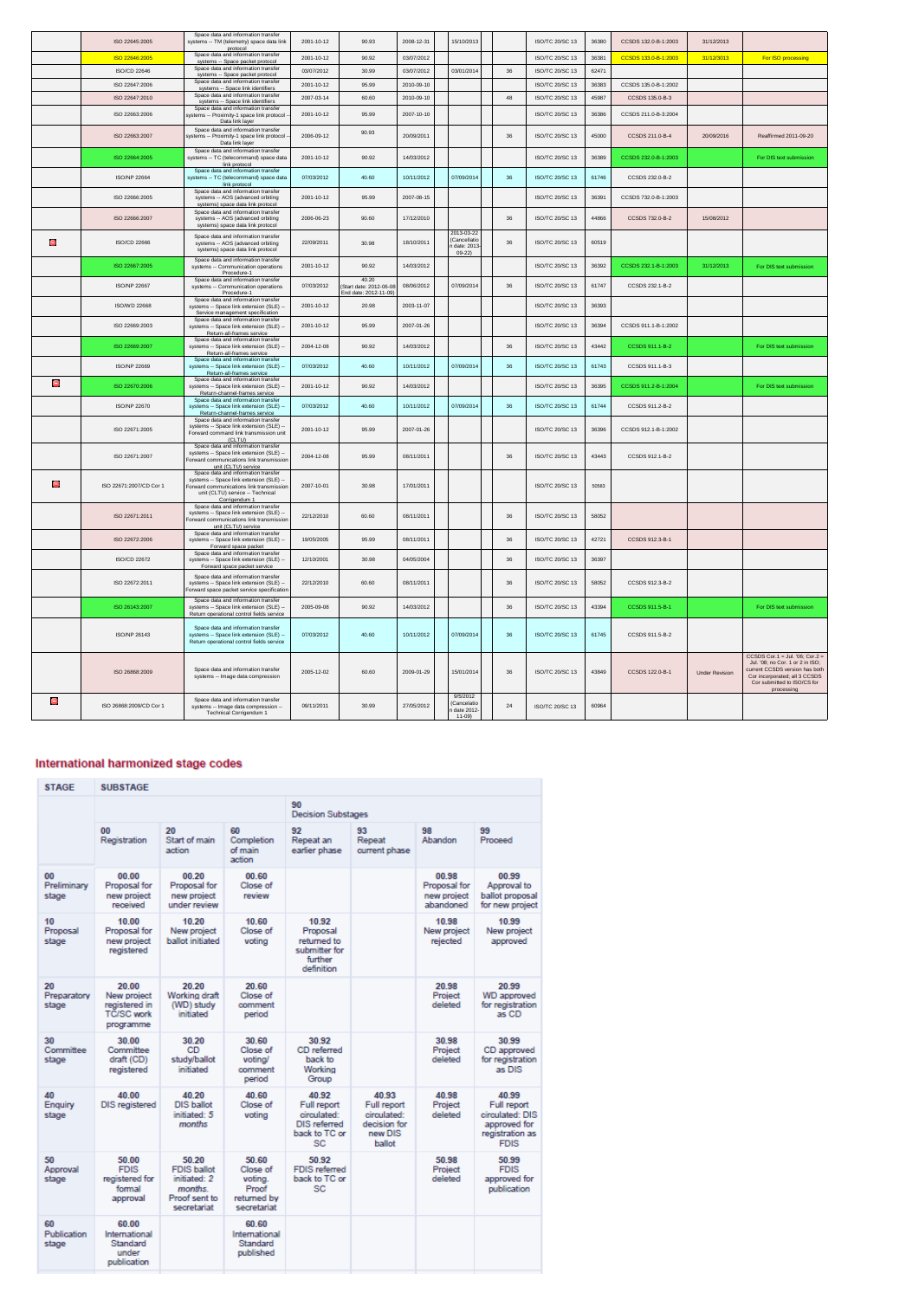|   | ISO 22645:2005          | Space data and information transfer<br>systems -- TM (telemetry) space data link<br>protocol                                                                                     | 2001-10-12 | 90.93                                                    | 2008-12-31 | 15/10/2013                                          |        | ISO/TC 20/SC 13        | 36380 | CCSDS 132.0-B-1:2003 | 31/12/2013            |                                                                                                                                                                                     |
|---|-------------------------|----------------------------------------------------------------------------------------------------------------------------------------------------------------------------------|------------|----------------------------------------------------------|------------|-----------------------------------------------------|--------|------------------------|-------|----------------------|-----------------------|-------------------------------------------------------------------------------------------------------------------------------------------------------------------------------------|
|   | ISO 22646:2005          | Space data and information transfer<br>systems -- Space packet protocol                                                                                                          | 2001-10-12 | 90.92                                                    | 03/07/2012 |                                                     |        | ISO/TC 20/SC 13        | 36381 | CCSDS 133.0-B-1:2003 | 31/12/3013            | For ISO processing                                                                                                                                                                  |
|   | ISO/CD 22646            | Space data and information transfer<br>systems -- Space packet protocol                                                                                                          | 03/07/2012 | 30.99                                                    | 03/07/2012 | 03/01/2014                                          | 36     | ISO/TC 20/SC 13        | 62471 |                      |                       |                                                                                                                                                                                     |
|   | ISO 22647:2006          | Space data and information transfer<br>systems -- Space link identifiers                                                                                                         | 2001-10-12 | 95.99                                                    | 2010-09-10 |                                                     |        | <b>ISO/TC 20/SC 13</b> | 36383 | CCSDS 135.0-B-1:2002 |                       |                                                                                                                                                                                     |
|   | ISO 22647:2010          | Space data and information transfer                                                                                                                                              | 2007-03-14 | 60.60                                                    | 2010-09-10 |                                                     | 48     | <b>ISO/TC 20/SC 13</b> | 45987 | CCSDS 135 0-B-3      |                       |                                                                                                                                                                                     |
|   | ISO 22663:2006          | systems -- Space link identifiers<br>Space data and information transfe                                                                                                          | 2001-10-12 | 95.99                                                    | 2007-10-10 |                                                     |        | <b>ISO/TC 20/SC 13</b> | 36386 | CCSDS 211.0-B-3:2004 |                       |                                                                                                                                                                                     |
|   |                         | systems -- Proximity-1 space link protocol<br>Data link layer                                                                                                                    |            |                                                          |            |                                                     |        |                        |       |                      |                       |                                                                                                                                                                                     |
|   | ISO 22663:2007          | Space data and information transfer<br>systems -- Proximity-1 space link protocol<br>Data link layer                                                                             | 2006-09-12 | 90.93                                                    | 20/09/2011 |                                                     | 36     | <b>ISO/TC 20/SC 13</b> | 45000 | CCSDS 211.0-B-4      | 20/09/2016            | Reaffirmed 2011-09-20                                                                                                                                                               |
|   | ISO 22664:2005          | Space data and information transfer<br>systems -- TC (telecommand) space data<br>link protocol                                                                                   | 2001-10-12 | 90.92                                                    | 14/03/2012 |                                                     |        | <b>ISO/TC 20/SC 13</b> | 36389 | CCSDS 232.0-B-1:2003 |                       | For DIS text submission                                                                                                                                                             |
|   | ISO/NP 22664            | Space data and information transfer<br>systems -- TC (telecommand) space data<br>link protocol                                                                                   | 07/03/2012 | 40.60                                                    | 10/11/2012 | 07/09/2014                                          | $36\,$ | ISO/TC 20/SC 13        | 61746 | CCSDS 232.0-B-2      |                       |                                                                                                                                                                                     |
|   | ISO 22666:2005          | Space data and information transfer<br>systems -- AOS (advanced orbiting<br>systems) space data link protocol                                                                    | 2001-10-12 | 95.99                                                    | 2007-08-15 |                                                     |        | <b>ISO/TC 20/SC 13</b> | 36391 | CCSDS 732 0-B-1:2003 |                       |                                                                                                                                                                                     |
|   | ISO 22666:2007          | Space data and information transfer<br>systems -- AOS (advanced orbiting<br>systems) space data link protocol                                                                    | 2006-06-23 | 90.60                                                    | 17/12/2010 |                                                     | 36     | <b>ISO/TC 20/SC 13</b> | 44866 | CCSDS 732.0-B-2      | 15/08/2012            |                                                                                                                                                                                     |
| Θ | ISO/CD 22666            | Space data and information transfer<br>systems -- AOS (advanced orbiting<br>systems) space data link protocol                                                                    | 22/09/2011 | 30.98                                                    | 18/10/2011 | 2013-03-22<br>(Cancellatio<br>date: 2013<br>$09-22$ | 36     | ISO/TC 20/SC 13        | 60519 |                      |                       |                                                                                                                                                                                     |
|   | ISO 22667:2005          | Space data and information transfer<br>systems -- Communication operations<br>Procedure-1                                                                                        | 2001-10-12 | 90.92                                                    | 14/03/2012 |                                                     |        | ISO/TC 20/SC 13        | 36392 | CCSDS 232.1-B-1:2003 | 31/12/2013            | For DIS text submission                                                                                                                                                             |
|   | <b>ISO/NP 22667</b>     | Space data and information transfer<br>systems -- Communication operations<br>Procedure-1                                                                                        | 07/03/2012 | 40.20<br>Start date: 2012-06-08<br>End date: 2012-11-09) | 08/06/2012 | 07/09/2014                                          | 36     | ISO/TC 20/SC 13        | 61747 | CCSDS 232.1-B-2      |                       |                                                                                                                                                                                     |
|   | <b>ISO/WD 22668</b>     | Space data and information transfer<br>systems -- Space link extension (SLE) -<br>Service management specification                                                               | 2001-10-12 | 20.98                                                    | 2003-11-07 |                                                     |        | ISO/TC 20/SC 13        | 36393 |                      |                       |                                                                                                                                                                                     |
|   | ISO 22669:2003          | Space data and information transfer<br>systems -- Space link extension (SLE) --<br>Return-all-frames service                                                                     | 2001-10-12 | 95.99                                                    | 2007-01-26 |                                                     |        | ISO/TC 20/SC 13        | 36394 | CCSDS 911.1-B-1:2002 |                       |                                                                                                                                                                                     |
|   | ISO 22669:2007          | Space data and information transfer<br>systems -- Space link extension (SLE) --<br>Return-all-frames service<br>Space data and information transfer                              | 2004-12-08 | 90.92                                                    | 14/03/2012 |                                                     | $36\,$ | ISO/TC 20/SC 13        | 43442 | CCSDS 911.1-B-2      |                       | For DIS text submission                                                                                                                                                             |
|   | <b>ISO/NP 22669</b>     | systems -- Space link extension (SLE) --<br>Return-all-frames service<br>Space data and information transfer                                                                     | 07/03/2012 | 40.60                                                    | 10/11/2012 | 07/09/2014                                          | 36     | <b>ISO/TC 20/SC 13</b> | 61743 | CCSDS 911.1-B-3      |                       |                                                                                                                                                                                     |
| Θ | ISO 22670:2006          | systems -- Space link extension (SLE) --<br>Return-channel-frames service<br>Space data and information transfer                                                                 | 2001-10-12 | 90.92                                                    | 14/03/2012 |                                                     |        | ISO/TC 20/SC 13        | 36395 | CCSDS 911.2-B-1:2004 |                       | For DIS text submission                                                                                                                                                             |
|   | ISO/NP 22670            | systems -- Space link extension (SLE) -<br>Return-channel-frames service<br>Space data and information transfer                                                                  | 07/03/2012 | 40.60                                                    | 10/11/2012 | 07/09/2014                                          | 36     | <b>ISO/TC 20/SC 13</b> | 61744 | CCSDS 911.2-B-2      |                       |                                                                                                                                                                                     |
|   | ISO 22671:2005          | systems -- Space link extension (SLE) -<br>Forward command link transmission unit<br>(CLTU)<br>Space data and information transfer                                               | 2001-10-12 | 95.99                                                    | 2007-01-26 |                                                     |        | ISO/TC 20/SC 13        | 36396 | CCSDS 912.1-B-1:2002 |                       |                                                                                                                                                                                     |
|   | ISO 22671:2007          | systems -- Space link extension (SLE) -<br>orward communications link transmission<br>unit (CLTU) service                                                                        | 2004-12-08 | 95.99                                                    | 08/11/2011 |                                                     | 36     | ISO/TC 20/SC 13        | 43443 | CCSDS 912 1-B-2      |                       |                                                                                                                                                                                     |
| e | ISO 22671:2007/CD Cor 1 | Space data and information transfer<br>systems -- Space link extension (SLE) --<br>Forward communications link transmissior<br>unit (CLTU) service -- Technical<br>Corrigendum 1 | 2007-10-01 | 30.98                                                    | 17/01/2011 |                                                     |        | ISO/TC 20/SC 13        | 50583 |                      |                       |                                                                                                                                                                                     |
|   | ISO 22671:2011          | Space data and information transfer<br>systems -- Space link extension (SLE) -<br>orward communications link transmission<br>unit (CLTU) service                                 | 22/12/2010 | 60.60                                                    | 08/11/2011 |                                                     | 36     | ISO/TC 20/SC 13        | 58052 |                      |                       |                                                                                                                                                                                     |
|   | ISO 22672:2006          | Space data and information transfer<br>systems -- Space link extension (SLE) --<br>Forward space packet                                                                          | 19/05/2005 | 95.99                                                    | 08/11/2011 |                                                     | 36     | ISO/TC 20/SC 13        | 42721 | CCSDS 912.3-B-1      |                       |                                                                                                                                                                                     |
|   | <b>ISO/CD 22672</b>     | Space data and information transfer<br>systems -- Space link extension (SLE) -<br>Forward space packet service                                                                   | 12/10/2001 | 30.98                                                    | 04/05/2004 |                                                     | 36     | ISO/TC 20/SC 13        | 36397 |                      |                       |                                                                                                                                                                                     |
|   | ISO 22672:2011          | Space data and information transfer<br>systems -- Space link extension (SLE) -<br>orward space packet service specification                                                      | 22/12/2010 | 60.60                                                    | 08/11/2011 |                                                     | 36     | <b>ISO/TC 20/SC 13</b> | 58052 | CCSDS 912.3-B-2      |                       |                                                                                                                                                                                     |
|   | ISO 26143:2007          | Space data and information transfer<br>systems -- Space link extension (SLE) -<br>Return operational control fields service                                                      | 2005-09-08 | 90.92                                                    | 14/03/2012 |                                                     | 36     | ISO/TC 20/SC 13        | 43394 | CCSDS 911.5-B-1      |                       | For DIS text submission                                                                                                                                                             |
|   | <b>ISO/NP 26143</b>     | Space data and information transfer<br>systems -- Space link extension (SLE) --<br>Return operational control fields service                                                     | 07/03/2012 | 40.60                                                    | 10/11/2012 | 07/09/2014                                          | 36     | <b>ISO/TC 20/SC 13</b> | 61745 | CCSDS 911.5-B-2      |                       |                                                                                                                                                                                     |
|   | ISO 26868:2009          | Space data and information transfer<br>systems -- Image data compression                                                                                                         | 2005-12-02 | 60.60                                                    | 2009-01-29 | 15/01/2014                                          | 36     | ISO/TC 20/SC 13        | 43849 | CCSDS 122.0-B-1      | <b>Under Revision</b> | CCSDS Cor.1 = Jul. '06; Cor.2 =<br>Jul. '08; no Cor. 1 or 2 in ISO;<br>current CCSDS version has both<br>Cor incorporated; all 3 CCSDS<br>Cor submitted to ISO/CS for<br>processing |
| Θ | ISO 26868:2009/CD Cor 1 | Space data and information transfer<br>systems -- Image data compression --<br>Technical Corrigendum 1                                                                           | 09/11/2011 | 30.99                                                    | 27/05/2012 | 9/5/2012<br>(Cancelatio<br>date 2012<br>$11 - 09$   | 24     | ISO/TC 20/SC 13        | 60964 |                      |                       |                                                                                                                                                                                     |

## International harmonized stage codes

| <b>STAGE</b>               | <b>SUBSTAGE</b>                                                         |                                                                                        |                                                                     |                                                                                   |                                                                          |                                                   |                                                                                           |  |  |  |
|----------------------------|-------------------------------------------------------------------------|----------------------------------------------------------------------------------------|---------------------------------------------------------------------|-----------------------------------------------------------------------------------|--------------------------------------------------------------------------|---------------------------------------------------|-------------------------------------------------------------------------------------------|--|--|--|
|                            |                                                                         |                                                                                        |                                                                     | 90<br><b>Decision Substages</b>                                                   |                                                                          |                                                   |                                                                                           |  |  |  |
|                            | 00<br>Registration                                                      | 20<br>Start of main<br>action                                                          | 60<br>Completion<br>of main<br>action                               | 92<br>Repeat an<br>earlier phase                                                  | 93<br>Repeat<br>current phase                                            | 98<br>Abandon                                     | 99<br>Proceed                                                                             |  |  |  |
| 00<br>Preliminary<br>stage | 00.00<br>Proposal for<br>new project<br>received                        | 00.20<br>Proposal for<br>new project<br>under review                                   | 00.60<br>Close of<br>review                                         |                                                                                   |                                                                          | 00.98<br>Proposal for<br>new project<br>abandoned | 00.99<br>Approval to<br>ballot proposal<br>for new project                                |  |  |  |
| 10<br>Proposal<br>stage    | 10.00<br>Proposal for<br>new project<br>registered                      | 10.20<br>New project<br>ballot initiated                                               | 10.60<br>Close of<br>votina                                         | 10.92<br>Proposal<br>returned to<br>submitter for<br>further<br>definition        |                                                                          | 10.98<br>New project<br>rejected                  | 10.99<br>New project<br>approved                                                          |  |  |  |
| 20<br>Preparatory<br>stage | 20.00<br>New project<br>registered in<br><b>TC/SC work</b><br>programme | 20.20<br>Working draft<br>(WD) study<br>initiated                                      | 20.60<br>Close of<br>comment<br>period                              |                                                                                   |                                                                          | 20.98<br>Project<br>deleted                       | 20.99<br><b>WD</b> approved<br>for registration<br>as CD                                  |  |  |  |
| 30<br>Committee<br>stage   | 30.00<br>Committee<br>draft (CD)<br>registered                          | 30.20<br>CD<br>study/ballot<br>initiated                                               | 30.60<br>Close of<br>voting/<br>comment<br>period                   | 30.92<br>CD referred<br>hack to<br>Working<br>Group                               |                                                                          | 30.98<br>Project<br>deleted                       | 30.99<br>CD approved<br>for registration<br>as DIS                                        |  |  |  |
| 40<br>Enquiry<br>stage     | 40.00<br><b>DIS</b> registered                                          | 40.20<br><b>DIS ballot</b><br>initiated: 5<br>months                                   | 40.60<br>Close of<br>voting                                         | 40.92<br>Full report<br>circulated:<br><b>DIS referred</b><br>back to TC or<br>SC | 40.93<br>Full report<br>circulated:<br>decision for<br>new DIS<br>ballot | 40.98<br>Project<br>deleted                       | 40.99<br>Full report<br>circulated: DIS<br>approved for<br>registration as<br><b>FDIS</b> |  |  |  |
| 50<br>Approval<br>stage    | 50.00<br><b>FDIS</b><br>registered for<br>formal<br>approval            | 50.20<br><b>FDIS ballot</b><br>initiated: 2<br>months.<br>Proof sent to<br>secretariat | 50.60<br>Close of<br>voting.<br>Proof<br>returned by<br>secretariat | 50.92<br><b>FDIS</b> referred<br>back to TC or<br>SC                              |                                                                          | 50.98<br>Project<br>deleted                       | 50.99<br><b>FDIS</b><br>approved for<br>publication                                       |  |  |  |
| 60<br>Publication<br>stage | 60.00<br>International<br>Standard<br>under<br>publication              |                                                                                        | 60.60<br>International<br>Standard<br>published                     |                                                                                   |                                                                          |                                                   |                                                                                           |  |  |  |